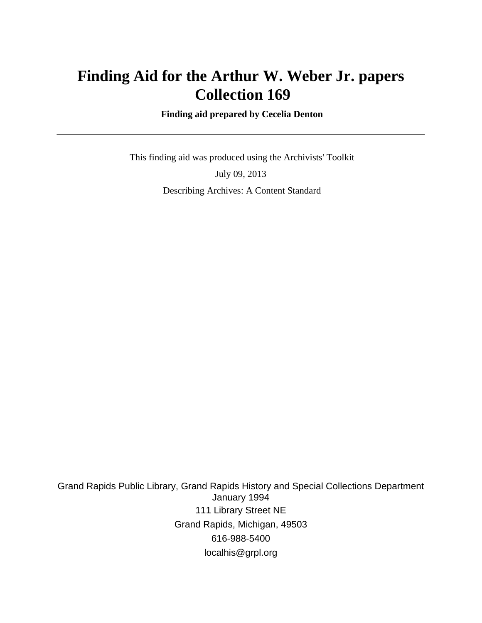# **Finding Aid for the Arthur W. Weber Jr. papers Collection 169**

 **Finding aid prepared by Cecelia Denton**

 This finding aid was produced using the Archivists' Toolkit July 09, 2013 Describing Archives: A Content Standard

Grand Rapids Public Library, Grand Rapids History and Special Collections Department January 1994 111 Library Street NE Grand Rapids, Michigan, 49503 616-988-5400 localhis@grpl.org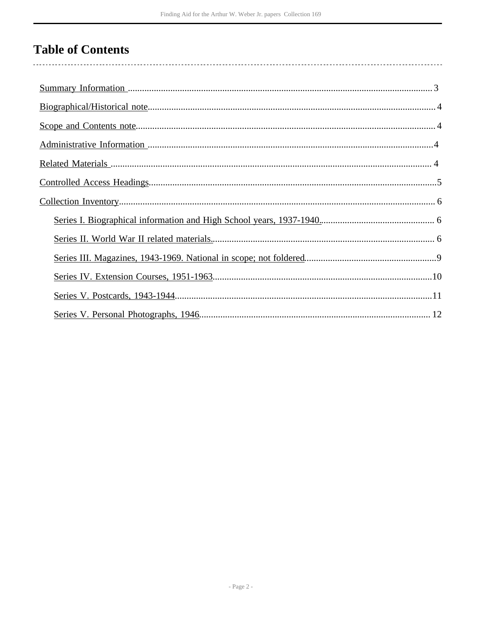# **Table of Contents**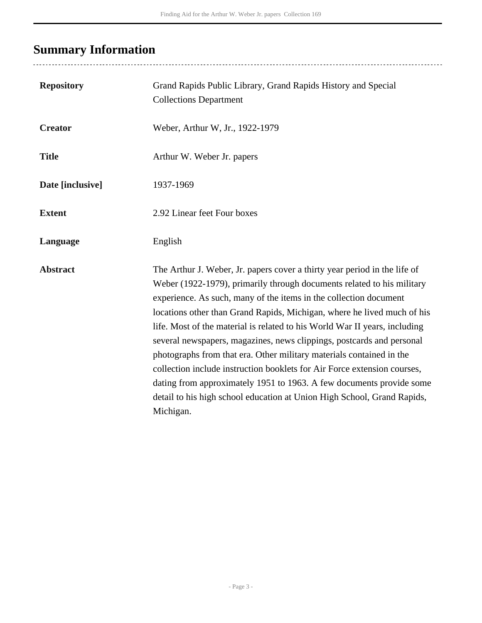# <span id="page-2-0"></span>**Summary Information**

| <b>Repository</b> | Grand Rapids Public Library, Grand Rapids History and Special<br><b>Collections Department</b>                                                                                                                                                                                                                                                                                                                                                                                                                                                                                                                                                                                                                                                                                 |
|-------------------|--------------------------------------------------------------------------------------------------------------------------------------------------------------------------------------------------------------------------------------------------------------------------------------------------------------------------------------------------------------------------------------------------------------------------------------------------------------------------------------------------------------------------------------------------------------------------------------------------------------------------------------------------------------------------------------------------------------------------------------------------------------------------------|
| <b>Creator</b>    | Weber, Arthur W, Jr., 1922-1979                                                                                                                                                                                                                                                                                                                                                                                                                                                                                                                                                                                                                                                                                                                                                |
| <b>Title</b>      | Arthur W. Weber Jr. papers                                                                                                                                                                                                                                                                                                                                                                                                                                                                                                                                                                                                                                                                                                                                                     |
| Date [inclusive]  | 1937-1969                                                                                                                                                                                                                                                                                                                                                                                                                                                                                                                                                                                                                                                                                                                                                                      |
| <b>Extent</b>     | 2.92 Linear feet Four boxes                                                                                                                                                                                                                                                                                                                                                                                                                                                                                                                                                                                                                                                                                                                                                    |
| Language          | English                                                                                                                                                                                                                                                                                                                                                                                                                                                                                                                                                                                                                                                                                                                                                                        |
| <b>Abstract</b>   | The Arthur J. Weber, Jr. papers cover a thirty year period in the life of<br>Weber (1922-1979), primarily through documents related to his military<br>experience. As such, many of the items in the collection document<br>locations other than Grand Rapids, Michigan, where he lived much of his<br>life. Most of the material is related to his World War II years, including<br>several newspapers, magazines, news clippings, postcards and personal<br>photographs from that era. Other military materials contained in the<br>collection include instruction booklets for Air Force extension courses,<br>dating from approximately 1951 to 1963. A few documents provide some<br>detail to his high school education at Union High School, Grand Rapids,<br>Michigan. |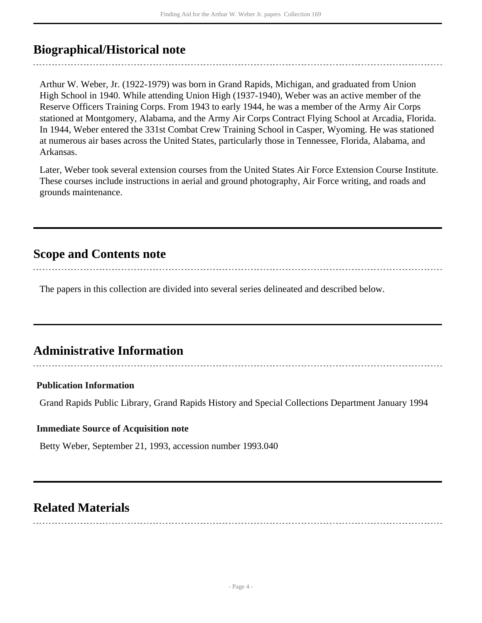# <span id="page-3-0"></span>**Biographical/Historical note**

Arthur W. Weber, Jr. (1922-1979) was born in Grand Rapids, Michigan, and graduated from Union High School in 1940. While attending Union High (1937-1940), Weber was an active member of the Reserve Officers Training Corps. From 1943 to early 1944, he was a member of the Army Air Corps stationed at Montgomery, Alabama, and the Army Air Corps Contract Flying School at Arcadia, Florida. In 1944, Weber entered the 331st Combat Crew Training School in Casper, Wyoming. He was stationed at numerous air bases across the United States, particularly those in Tennessee, Florida, Alabama, and Arkansas.

Later, Weber took several extension courses from the United States Air Force Extension Course Institute. These courses include instructions in aerial and ground photography, Air Force writing, and roads and grounds maintenance.

# <span id="page-3-1"></span>**Scope and Contents note**

The papers in this collection are divided into several series delineated and described below.

# <span id="page-3-2"></span>**Administrative Information**

## **Publication Information**

Grand Rapids Public Library, Grand Rapids History and Special Collections Department January 1994

## **Immediate Source of Acquisition note**

Betty Weber, September 21, 1993, accession number 1993.040

# <span id="page-3-3"></span>**Related Materials**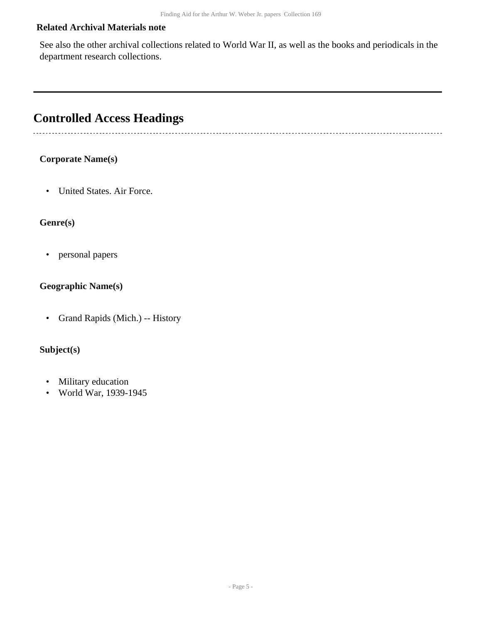### **Related Archival Materials note**

See also the other archival collections related to World War II, as well as the books and periodicals in the department research collections.

# <span id="page-4-0"></span>**Controlled Access Headings**

## **Corporate Name(s)**

• United States. Air Force.

#### **Genre(s)**

• personal papers

#### **Geographic Name(s)**

• Grand Rapids (Mich.) -- History

## **Subject(s)**

- Military education
- World War, 1939-1945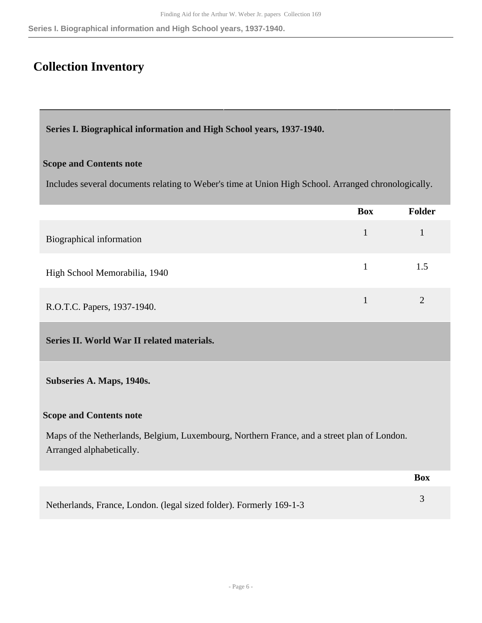# <span id="page-5-0"></span>**Collection Inventory**

<span id="page-5-1"></span>**Series I. Biographical information and High School years, 1937-1940.** 

### **Scope and Contents note**

Includes several documents relating to Weber's time at Union High School. Arranged chronologically.

<span id="page-5-2"></span>

|                                                                                                                         | <b>Box</b>   | Folder         |
|-------------------------------------------------------------------------------------------------------------------------|--------------|----------------|
| Biographical information                                                                                                | $\mathbf{1}$ | $\mathbf{1}$   |
| High School Memorabilia, 1940                                                                                           | $\mathbf{1}$ | 1.5            |
| R.O.T.C. Papers, 1937-1940.                                                                                             | $\mathbf{1}$ | $\overline{2}$ |
| Series II. World War II related materials.                                                                              |              |                |
| Subseries A. Maps, 1940s.                                                                                               |              |                |
| <b>Scope and Contents note</b>                                                                                          |              |                |
| Maps of the Netherlands, Belgium, Luxembourg, Northern France, and a street plan of London.<br>Arranged alphabetically. |              |                |
|                                                                                                                         |              | <b>Box</b>     |
| Netherlands, France, London. (legal sized folder). Formerly 169-1-3                                                     |              | 3              |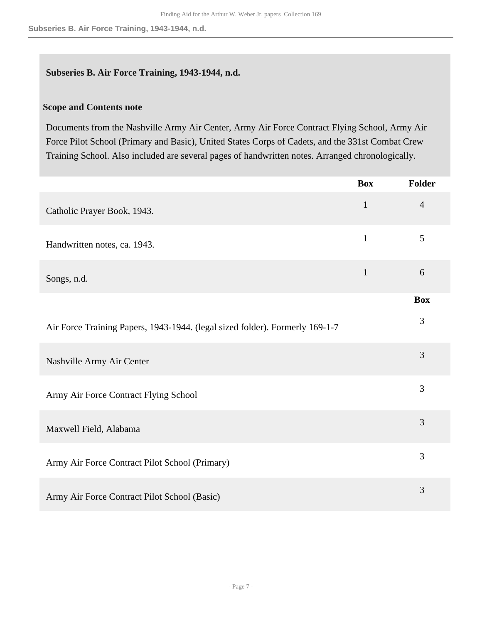#### **Subseries B. Air Force Training, 1943-1944, n.d.**

#### **Scope and Contents note**

Documents from the Nashville Army Air Center, Army Air Force Contract Flying School, Army Air Force Pilot School (Primary and Basic), United States Corps of Cadets, and the 331st Combat Crew Training School. Also included are several pages of handwritten notes. Arranged chronologically.

|                                                                              | <b>Box</b>   | Folder         |
|------------------------------------------------------------------------------|--------------|----------------|
| Catholic Prayer Book, 1943.                                                  | $\mathbf{1}$ | $\overline{4}$ |
| Handwritten notes, ca. 1943.                                                 | $\mathbf{1}$ | 5              |
| Songs, n.d.                                                                  | $\mathbf{1}$ | 6              |
|                                                                              |              | <b>Box</b>     |
| Air Force Training Papers, 1943-1944. (legal sized folder). Formerly 169-1-7 |              | 3              |
| Nashville Army Air Center                                                    |              | 3              |
| Army Air Force Contract Flying School                                        |              | 3              |
| Maxwell Field, Alabama                                                       |              | 3              |
| Army Air Force Contract Pilot School (Primary)                               |              | 3              |
| Army Air Force Contract Pilot School (Basic)                                 |              | 3              |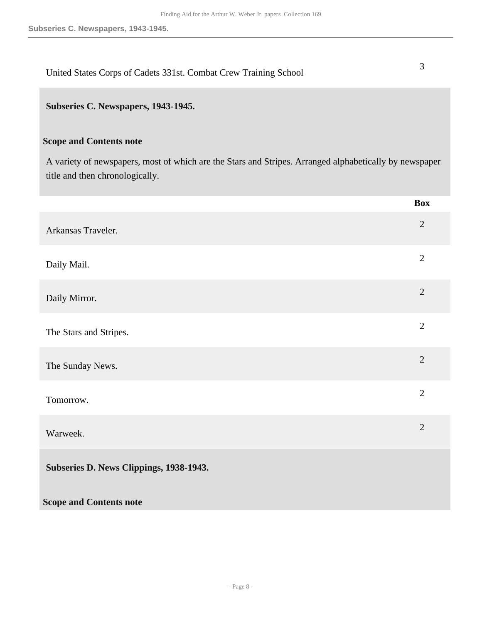| United States Corps of Cadets 331st. Combat Crew Training School                                                                          | 3              |
|-------------------------------------------------------------------------------------------------------------------------------------------|----------------|
| Subseries C. Newspapers, 1943-1945.                                                                                                       |                |
| <b>Scope and Contents note</b>                                                                                                            |                |
| A variety of newspapers, most of which are the Stars and Stripes. Arranged alphabetically by newspaper<br>title and then chronologically. |                |
|                                                                                                                                           | <b>Box</b>     |
| Arkansas Traveler.                                                                                                                        | $\overline{2}$ |
| Daily Mail.                                                                                                                               | $\overline{2}$ |
| Daily Mirror.                                                                                                                             | $\overline{2}$ |
| The Stars and Stripes.                                                                                                                    | $\overline{2}$ |
| The Sunday News.                                                                                                                          | $\overline{2}$ |
| Tomorrow.                                                                                                                                 | $\mathbf{2}$   |
| Warweek.                                                                                                                                  | $\overline{2}$ |
| Subseries D. News Clippings, 1938-1943.                                                                                                   |                |
| <b>Scope and Contents note</b>                                                                                                            |                |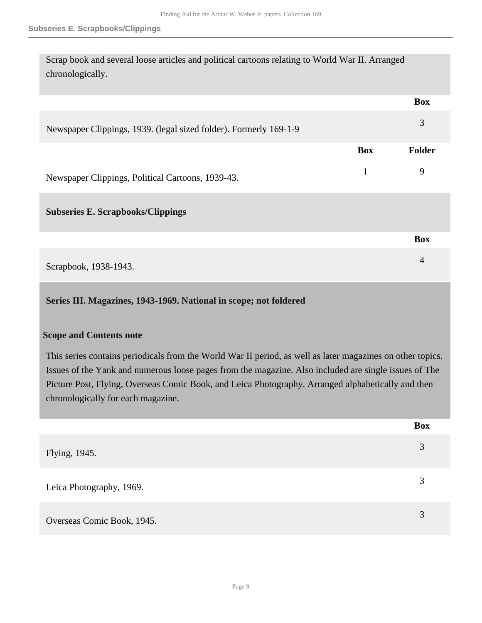| Scrap book and several loose articles and political cartoons relating to World War II. Arranged<br>chronologically.                                                                                         |              |                |
|-------------------------------------------------------------------------------------------------------------------------------------------------------------------------------------------------------------|--------------|----------------|
|                                                                                                                                                                                                             |              | <b>Box</b>     |
| Newspaper Clippings, 1939. (legal sized folder). Formerly 169-1-9                                                                                                                                           |              | 3              |
|                                                                                                                                                                                                             | <b>Box</b>   | Folder         |
| Newspaper Clippings, Political Cartoons, 1939-43.                                                                                                                                                           | $\mathbf{1}$ | 9              |
| <b>Subseries E. Scrapbooks/Clippings</b>                                                                                                                                                                    |              |                |
|                                                                                                                                                                                                             |              | <b>Box</b>     |
| Scrapbook, 1938-1943.                                                                                                                                                                                       |              | $\overline{4}$ |
| Series III. Magazines, 1943-1969. National in scope; not foldered                                                                                                                                           |              |                |
| <b>Scope and Contents note</b>                                                                                                                                                                              |              |                |
| This series contains periodicals from the World War II period, as well as later magazines on other topics.                                                                                                  |              |                |
| Issues of the Yank and numerous loose pages from the magazine. Also included are single issues of The<br>Picture Post, Flying, Overseas Comic Book, and Leica Photography. Arranged alphabetically and then |              |                |
| chronologically for each magazine.                                                                                                                                                                          |              |                |
|                                                                                                                                                                                                             |              |                |
|                                                                                                                                                                                                             |              | <b>Box</b>     |
| Flying, 1945.                                                                                                                                                                                               |              | 3              |
| Leica Photography, 1969.                                                                                                                                                                                    |              | 3              |

<span id="page-8-0"></span>Overseas Comic Book, 1945. <sup>3</sup>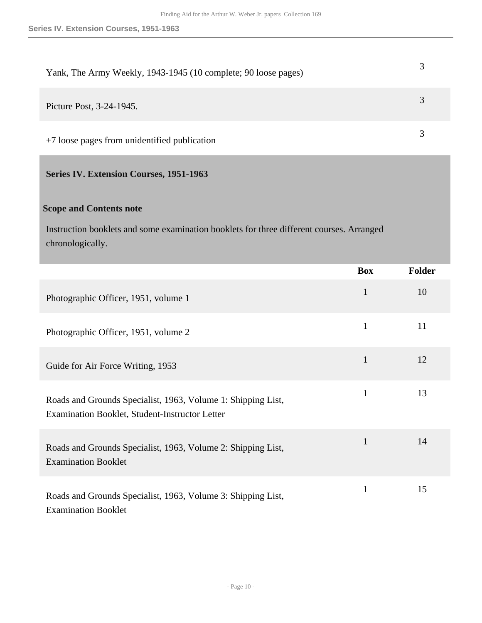| Yank, The Army Weekly, 1943-1945 (10 complete; 90 loose pages) |  |
|----------------------------------------------------------------|--|
| Picture Post, 3-24-1945.                                       |  |
| +7 loose pages from unidentified publication                   |  |

### <span id="page-9-0"></span>**Series IV. Extension Courses, 1951-1963**

# **Scope and Contents note**

Instruction booklets and some examination booklets for three different courses. Arranged chronologically.

|                                                                                                                | <b>Box</b>   | Folder |
|----------------------------------------------------------------------------------------------------------------|--------------|--------|
| Photographic Officer, 1951, volume 1                                                                           | $\mathbf{1}$ | 10     |
| Photographic Officer, 1951, volume 2                                                                           | $\mathbf{1}$ | 11     |
| Guide for Air Force Writing, 1953                                                                              | $\mathbf{1}$ | 12     |
| Roads and Grounds Specialist, 1963, Volume 1: Shipping List,<br>Examination Booklet, Student-Instructor Letter | $\mathbf{1}$ | 13     |
| Roads and Grounds Specialist, 1963, Volume 2: Shipping List,<br><b>Examination Booklet</b>                     | $\mathbf{1}$ | 14     |
| Roads and Grounds Specialist, 1963, Volume 3: Shipping List,<br><b>Examination Booklet</b>                     | $\mathbf{1}$ | 15     |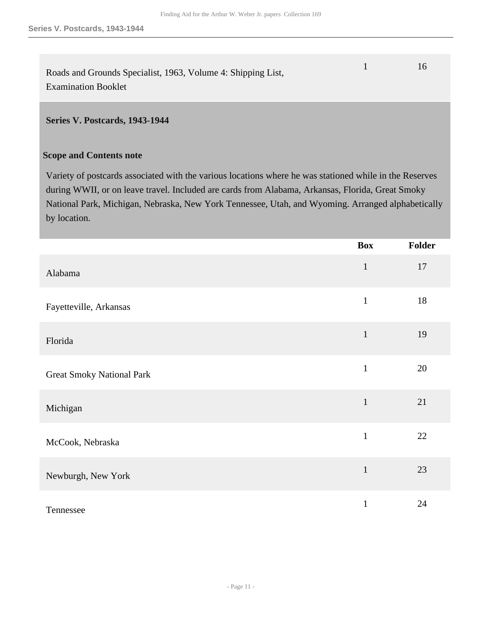Roads and Grounds Specialist, 1963, Volume 4: Shipping List, Examination Booklet

1 16

#### <span id="page-10-0"></span>**Series V. Postcards, 1943-1944**

#### **Scope and Contents note**

Variety of postcards associated with the various locations where he was stationed while in the Reserves during WWII, or on leave travel. Included are cards from Alabama, Arkansas, Florida, Great Smoky National Park, Michigan, Nebraska, New York Tennessee, Utah, and Wyoming. Arranged alphabetically by location.

|                                  | <b>Box</b>   | <b>Folder</b> |
|----------------------------------|--------------|---------------|
| Alabama                          | $\mathbf{1}$ | 17            |
| Fayetteville, Arkansas           | $\mathbf{1}$ | 18            |
| Florida                          | $\mathbf{1}$ | 19            |
| <b>Great Smoky National Park</b> | $\mathbf{1}$ | 20            |
| Michigan                         | $\mathbf 1$  | 21            |
| McCook, Nebraska                 | $\mathbf{1}$ | 22            |
| Newburgh, New York               | $\mathbf{1}$ | 23            |
| Tennessee                        | $\mathbf{1}$ | 24            |